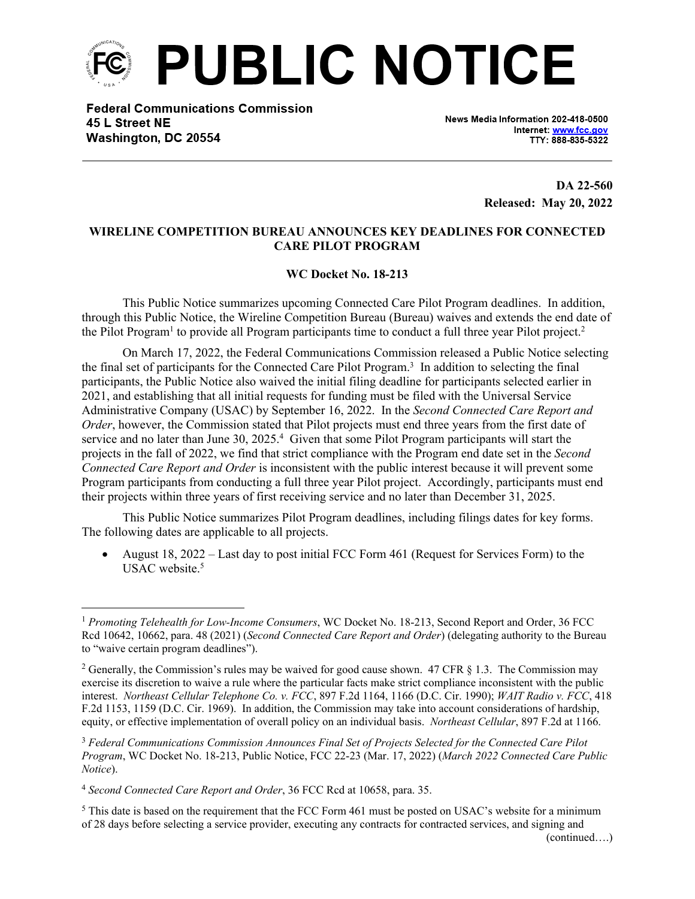

**Federal Communications Commission** 45 L Street NE Washington, DC 20554

News Media Information 202-418-0500 Internet: www.fcc.gov TTY: 888-835-5322

> **DA 22-560 Released: May 20, 2022**

## **WIRELINE COMPETITION BUREAU ANNOUNCES KEY DEADLINES FOR CONNECTED CARE PILOT PROGRAM**

## **WC Docket No. 18-213**

This Public Notice summarizes upcoming Connected Care Pilot Program deadlines. In addition, through this Public Notice, the Wireline Competition Bureau (Bureau) waives and extends the end date of the Pilot Program<sup>1</sup> to provide all Program participants time to conduct a full three year Pilot project.<sup>2</sup>

On March 17, 2022, the Federal Communications Commission released a Public Notice selecting the final set of participants for the Connected Care Pilot Program.<sup>3</sup> In addition to selecting the final participants, the Public Notice also waived the initial filing deadline for participants selected earlier in 2021, and establishing that all initial requests for funding must be filed with the Universal Service Administrative Company (USAC) by September 16, 2022. In the *Second Connected Care Report and Order*, however, the Commission stated that Pilot projects must end three years from the first date of service and no later than June 30, 2025.<sup>4</sup> Given that some Pilot Program participants will start the projects in the fall of 2022, we find that strict compliance with the Program end date set in the *Second Connected Care Report and Order* is inconsistent with the public interest because it will prevent some Program participants from conducting a full three year Pilot project. Accordingly, participants must end their projects within three years of first receiving service and no later than December 31, 2025.

This Public Notice summarizes Pilot Program deadlines, including filings dates for key forms. The following dates are applicable to all projects.

 August 18, 2022 – Last day to post initial FCC Form 461 (Request for Services Form) to the USAC website.<sup>5</sup>

<sup>5</sup> This date is based on the requirement that the FCC Form 461 must be posted on USAC's website for a minimum of 28 days before selecting a service provider, executing any contracts for contracted services, and signing and

<sup>1</sup> *Promoting Telehealth for Low-Income Consumers*, WC Docket No. 18-213, Second Report and Order, 36 FCC Rcd 10642, 10662, para. 48 (2021) (*Second Connected Care Report and Order*) (delegating authority to the Bureau to "waive certain program deadlines").

<sup>&</sup>lt;sup>2</sup> Generally, the Commission's rules may be waived for good cause shown. 47 CFR § 1.3. The Commission may exercise its discretion to waive a rule where the particular facts make strict compliance inconsistent with the public interest. *Northeast Cellular Telephone Co. v. FCC*, 897 F.2d 1164, 1166 (D.C. Cir. 1990); *WAIT Radio v. FCC*, 418 F.2d 1153, 1159 (D.C. Cir. 1969). In addition, the Commission may take into account considerations of hardship, equity, or effective implementation of overall policy on an individual basis. *Northeast Cellular*, 897 F.2d at 1166.

<sup>3</sup> *Federal Communications Commission Announces Final Set of Projects Selected for the Connected Care Pilot Program*, WC Docket No. 18-213, Public Notice, FCC 22-23 (Mar. 17, 2022) (*March 2022 Connected Care Public Notice*).

<sup>4</sup> *Second Connected Care Report and Order*, 36 FCC Rcd at 10658, para. 35.